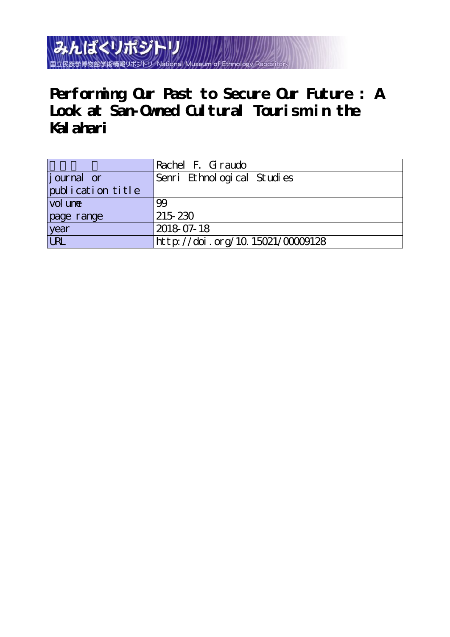みんぱくリポジトリ 国立民族学博物館学術情報リポジトリ National Museum of

**Performing Our Past to Secure Our Future : A Look at San-Owned Cultural Tourism in the Kalahari**

|                   | Rachel F. Giraudo                |
|-------------------|----------------------------------|
| journal or        | Senri Ethnological Studies       |
| publication title |                                  |
| vol une           | 99                               |
| page range        | 215 230                          |
| year<br>URL       | 2018 07-18                       |
|                   | http://doi.org/10.15021/00009128 |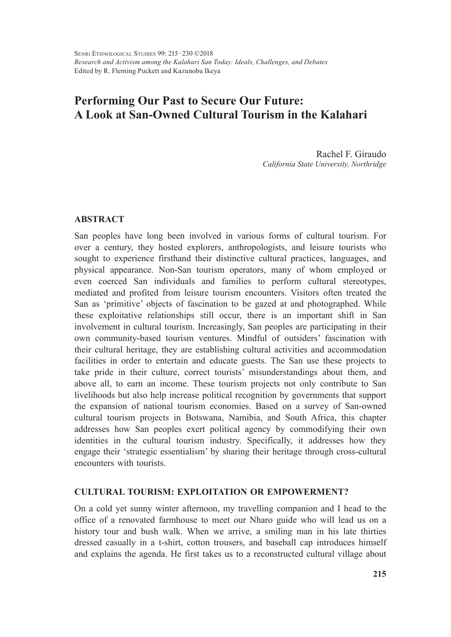# **Performing Our Past to Secure Our Future: A Look at San-Owned Cultural Tourism in the Kalahari**

Rachel F. Giraudo *California State University, Northridge*

# **ABSTRACT**

San peoples have long been involved in various forms of cultural tourism. For over a century, they hosted explorers, anthropologists, and leisure tourists who sought to experience firsthand their distinctive cultural practices, languages, and physical appearance. Non-San tourism operators, many of whom employed or even coerced San individuals and families to perform cultural stereotypes, mediated and profited from leisure tourism encounters. Visitors often treated the San as 'primitive' objects of fascination to be gazed at and photographed. While these exploitative relationships still occur, there is an important shift in San involvement in cultural tourism. Increasingly, San peoples are participating in their own community-based tourism ventures. Mindful of outsiders' fascination with their cultural heritage, they are establishing cultural activities and accommodation facilities in order to entertain and educate guests. The San use these projects to take pride in their culture, correct tourists' misunderstandings about them, and above all, to earn an income. These tourism projects not only contribute to San livelihoods but also help increase political recognition by governments that support the expansion of national tourism economies. Based on a survey of San-owned cultural tourism projects in Botswana, Namibia, and South Africa, this chapter addresses how San peoples exert political agency by commodifying their own identities in the cultural tourism industry. Specifically, it addresses how they engage their 'strategic essentialism' by sharing their heritage through cross-cultural encounters with tourists.

# **CULTURAL TOURISM: EXPLOITATION OR EMPOWERMENT?**

On a cold yet sunny winter afternoon, my travelling companion and I head to the office of a renovated farmhouse to meet our Nharo guide who will lead us on a history tour and bush walk. When we arrive, a smiling man in his late thirties dressed casually in a t-shirt, cotton trousers, and baseball cap introduces himself and explains the agenda. He first takes us to a reconstructed cultural village about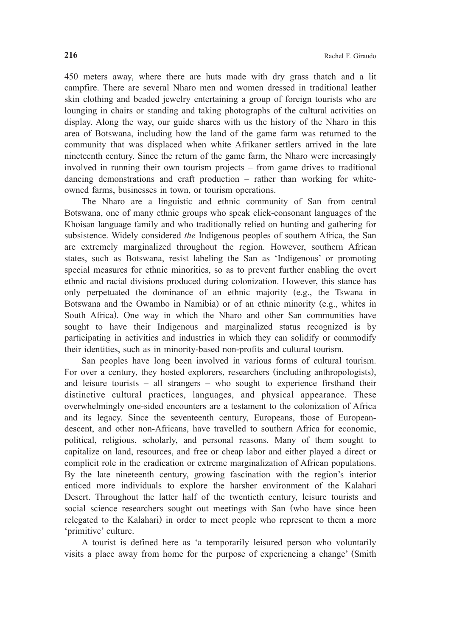450 meters away, where there are huts made with dry grass thatch and a lit campfire. There are several Nharo men and women dressed in traditional leather skin clothing and beaded jewelry entertaining a group of foreign tourists who are lounging in chairs or standing and taking photographs of the cultural activities on display. Along the way, our guide shares with us the history of the Nharo in this area of Botswana, including how the land of the game farm was returned to the community that was displaced when white Afrikaner settlers arrived in the late nineteenth century. Since the return of the game farm, the Nharo were increasingly involved in running their own tourism projects – from game drives to traditional dancing demonstrations and craft production – rather than working for whiteowned farms, businesses in town, or tourism operations.

The Nharo are a linguistic and ethnic community of San from central Botswana, one of many ethnic groups who speak click-consonant languages of the Khoisan language family and who traditionally relied on hunting and gathering for subsistence. Widely considered *the* Indigenous peoples of southern Africa, the San are extremely marginalized throughout the region. However, southern African states, such as Botswana, resist labeling the San as 'Indigenous' or promoting special measures for ethnic minorities, so as to prevent further enabling the overt ethnic and racial divisions produced during colonization. However, this stance has only perpetuated the dominance of an ethnic majority (e.g., the Tswana in Botswana and the Owambo in Namibia) or of an ethnic minority (e.g., whites in South Africa). One way in which the Nharo and other San communities have sought to have their Indigenous and marginalized status recognized is by participating in activities and industries in which they can solidify or commodify their identities, such as in minority-based non-profits and cultural tourism.

San peoples have long been involved in various forms of cultural tourism. For over a century, they hosted explorers, researchers (including anthropologists), and leisure tourists – all strangers – who sought to experience firsthand their distinctive cultural practices, languages, and physical appearance. These overwhelmingly one-sided encounters are a testament to the colonization of Africa and its legacy. Since the seventeenth century, Europeans, those of Europeandescent, and other non-Africans, have travelled to southern Africa for economic, political, religious, scholarly, and personal reasons. Many of them sought to capitalize on land, resources, and free or cheap labor and either played a direct or complicit role in the eradication or extreme marginalization of African populations. By the late nineteenth century, growing fascination with the region's interior enticed more individuals to explore the harsher environment of the Kalahari Desert. Throughout the latter half of the twentieth century, leisure tourists and social science researchers sought out meetings with San (who have since been relegated to the Kalahari) in order to meet people who represent to them a more 'primitive' culture.

A tourist is defined here as 'a temporarily leisured person who voluntarily visits a place away from home for the purpose of experiencing a change' (Smith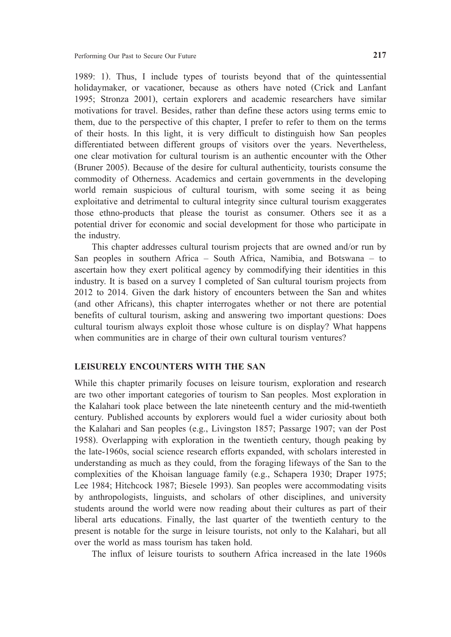1989: 1). Thus, I include types of tourists beyond that of the quintessential holidaymaker, or vacationer, because as others have noted (Crick and Lanfant 1995; Stronza 2001), certain explorers and academic researchers have similar motivations for travel. Besides, rather than define these actors using terms emic to them, due to the perspective of this chapter, I prefer to refer to them on the terms of their hosts. In this light, it is very difficult to distinguish how San peoples differentiated between different groups of visitors over the years. Nevertheless, one clear motivation for cultural tourism is an authentic encounter with the Other (Bruner 2005). Because of the desire for cultural authenticity, tourists consume the commodity of Otherness. Academics and certain governments in the developing world remain suspicious of cultural tourism, with some seeing it as being exploitative and detrimental to cultural integrity since cultural tourism exaggerates those ethno-products that please the tourist as consumer. Others see it as a potential driver for economic and social development for those who participate in the industry.

This chapter addresses cultural tourism projects that are owned and/or run by San peoples in southern Africa – South Africa, Namibia, and Botswana – to ascertain how they exert political agency by commodifying their identities in this industry. It is based on a survey I completed of San cultural tourism projects from 2012 to 2014. Given the dark history of encounters between the San and whites (and other Africans), this chapter interrogates whether or not there are potential benefits of cultural tourism, asking and answering two important questions: Does cultural tourism always exploit those whose culture is on display? What happens when communities are in charge of their own cultural tourism ventures?

# **LEISURELY ENCOUNTERS WITH THE SAN**

While this chapter primarily focuses on leisure tourism, exploration and research are two other important categories of tourism to San peoples. Most exploration in the Kalahari took place between the late nineteenth century and the mid-twentieth century. Published accounts by explorers would fuel a wider curiosity about both the Kalahari and San peoples (e.g., Livingston 1857; Passarge 1907; van der Post 1958). Overlapping with exploration in the twentieth century, though peaking by the late-1960s, social science research efforts expanded, with scholars interested in understanding as much as they could, from the foraging lifeways of the San to the complexities of the Khoisan language family (e.g., Schapera 1930; Draper 1975; Lee 1984; Hitchcock 1987; Biesele 1993). San peoples were accommodating visits by anthropologists, linguists, and scholars of other disciplines, and university students around the world were now reading about their cultures as part of their liberal arts educations. Finally, the last quarter of the twentieth century to the present is notable for the surge in leisure tourists, not only to the Kalahari, but all over the world as mass tourism has taken hold.

The influx of leisure tourists to southern Africa increased in the late 1960s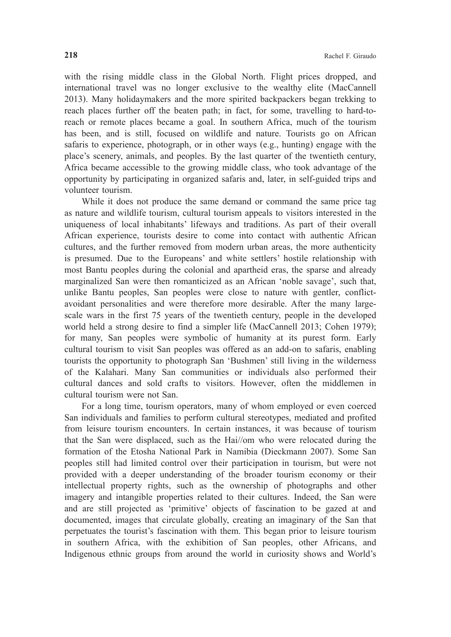with the rising middle class in the Global North. Flight prices dropped, and international travel was no longer exclusive to the wealthy elite (MacCannell 2013). Many holidaymakers and the more spirited backpackers began trekking to reach places further off the beaten path; in fact, for some, travelling to hard-toreach or remote places became a goal. In southern Africa, much of the tourism has been, and is still, focused on wildlife and nature. Tourists go on African safaris to experience, photograph, or in other ways (e.g., hunting) engage with the place's scenery, animals, and peoples. By the last quarter of the twentieth century, Africa became accessible to the growing middle class, who took advantage of the opportunity by participating in organized safaris and, later, in self-guided trips and volunteer tourism.

While it does not produce the same demand or command the same price tag as nature and wildlife tourism, cultural tourism appeals to visitors interested in the uniqueness of local inhabitants' lifeways and traditions. As part of their overall African experience, tourists desire to come into contact with authentic African cultures, and the further removed from modern urban areas, the more authenticity is presumed. Due to the Europeans' and white settlers' hostile relationship with most Bantu peoples during the colonial and apartheid eras, the sparse and already marginalized San were then romanticized as an African 'noble savage', such that, unlike Bantu peoples, San peoples were close to nature with gentler, conflictavoidant personalities and were therefore more desirable. After the many largescale wars in the first 75 years of the twentieth century, people in the developed world held a strong desire to find a simpler life (MacCannell 2013; Cohen 1979); for many, San peoples were symbolic of humanity at its purest form. Early cultural tourism to visit San peoples was offered as an add-on to safaris, enabling tourists the opportunity to photograph San 'Bushmen' still living in the wilderness of the Kalahari. Many San communities or individuals also performed their cultural dances and sold crafts to visitors. However, often the middlemen in cultural tourism were not San.

For a long time, tourism operators, many of whom employed or even coerced San individuals and families to perform cultural stereotypes, mediated and profited from leisure tourism encounters. In certain instances, it was because of tourism that the San were displaced, such as the Hai//om who were relocated during the formation of the Etosha National Park in Namibia (Dieckmann 2007). Some San peoples still had limited control over their participation in tourism, but were not provided with a deeper understanding of the broader tourism economy or their intellectual property rights, such as the ownership of photographs and other imagery and intangible properties related to their cultures. Indeed, the San were and are still projected as 'primitive' objects of fascination to be gazed at and documented, images that circulate globally, creating an imaginary of the San that perpetuates the tourist's fascination with them. This began prior to leisure tourism in southern Africa, with the exhibition of San peoples, other Africans, and Indigenous ethnic groups from around the world in curiosity shows and World's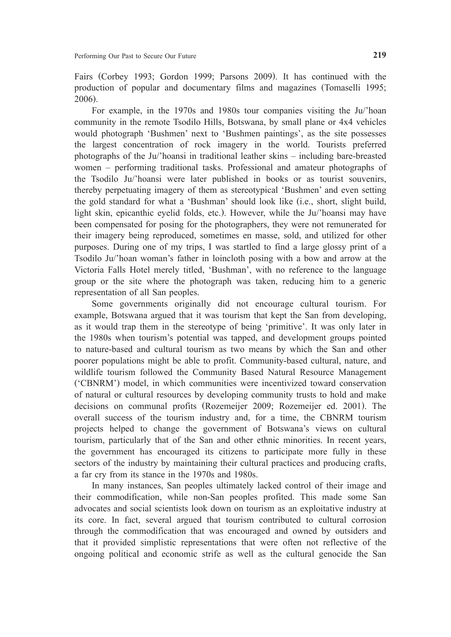Fairs (Corbey 1993; Gordon 1999; Parsons 2009). It has continued with the production of popular and documentary films and magazines (Tomaselli 1995; 2006).

For example, in the 1970s and 1980s tour companies visiting the Ju/'hoan community in the remote Tsodilo Hills, Botswana, by small plane or 4x4 vehicles would photograph 'Bushmen' next to 'Bushmen paintings', as the site possesses the largest concentration of rock imagery in the world. Tourists preferred photographs of the Ju/'hoansi in traditional leather skins – including bare-breasted women – performing traditional tasks. Professional and amateur photographs of the Tsodilo Ju/'hoansi were later published in books or as tourist souvenirs, thereby perpetuating imagery of them as stereotypical 'Bushmen' and even setting the gold standard for what a 'Bushman' should look like (i.e., short, slight build, light skin, epicanthic eyelid folds, etc.). However, while the Ju/'hoansi may have been compensated for posing for the photographers, they were not remunerated for their imagery being reproduced, sometimes en masse, sold, and utilized for other purposes. During one of my trips, I was startled to find a large glossy print of a Tsodilo Ju/'hoan woman's father in loincloth posing with a bow and arrow at the Victoria Falls Hotel merely titled, 'Bushman', with no reference to the language group or the site where the photograph was taken, reducing him to a generic representation of all San peoples.

Some governments originally did not encourage cultural tourism. For example, Botswana argued that it was tourism that kept the San from developing, as it would trap them in the stereotype of being 'primitive'. It was only later in the 1980s when tourism's potential was tapped, and development groups pointed to nature-based and cultural tourism as two means by which the San and other poorer populations might be able to profit. Community-based cultural, nature, and wildlife tourism followed the Community Based Natural Resource Management ('CBNRM') model, in which communities were incentivized toward conservation of natural or cultural resources by developing community trusts to hold and make decisions on communal profits (Rozemeijer 2009; Rozemeijer ed. 2001). The overall success of the tourism industry and, for a time, the CBNRM tourism projects helped to change the government of Botswana's views on cultural tourism, particularly that of the San and other ethnic minorities. In recent years, the government has encouraged its citizens to participate more fully in these sectors of the industry by maintaining their cultural practices and producing crafts, a far cry from its stance in the 1970s and 1980s.

In many instances, San peoples ultimately lacked control of their image and their commodification, while non-San peoples profited. This made some San advocates and social scientists look down on tourism as an exploitative industry at its core. In fact, several argued that tourism contributed to cultural corrosion through the commodification that was encouraged and owned by outsiders and that it provided simplistic representations that were often not reflective of the ongoing political and economic strife as well as the cultural genocide the San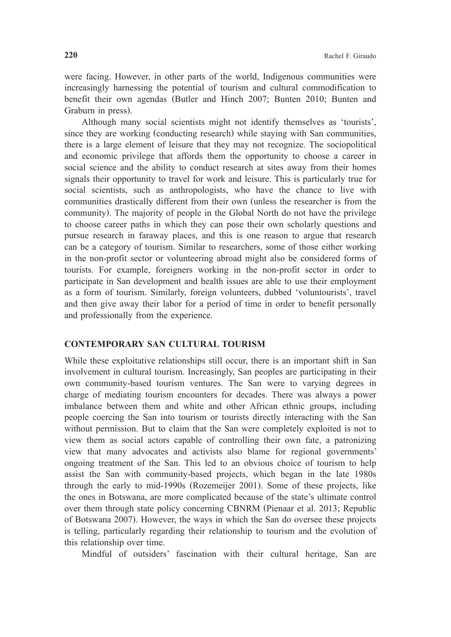were facing. However, in other parts of the world, Indigenous communities were increasingly harnessing the potential of tourism and cultural commodification to benefit their own agendas (Butler and Hinch 2007; Bunten 2010; Bunten and Graburn in press).

Although many social scientists might not identify themselves as 'tourists', since they are working (conducting research) while staying with San communities, there is a large element of leisure that they may not recognize. The sociopolitical and economic privilege that affords them the opportunity to choose a career in social science and the ability to conduct research at sites away from their homes signals their opportunity to travel for work and leisure. This is particularly true for social scientists, such as anthropologists, who have the chance to live with communities drastically different from their own (unless the researcher is from the community). The majority of people in the Global North do not have the privilege to choose career paths in which they can pose their own scholarly questions and pursue research in faraway places, and this is one reason to argue that research can be a category of tourism. Similar to researchers, some of those either working in the non-profit sector or volunteering abroad might also be considered forms of tourists. For example, foreigners working in the non-profit sector in order to participate in San development and health issues are able to use their employment as a form of tourism. Similarly, foreign volunteers, dubbed 'voluntourists', travel and then give away their labor for a period of time in order to benefit personally and professionally from the experience.

## **CONTEMPORARY SAN CULTURAL TOURISM**

While these exploitative relationships still occur, there is an important shift in San involvement in cultural tourism. Increasingly, San peoples are participating in their own community-based tourism ventures. The San were to varying degrees in charge of mediating tourism encounters for decades. There was always a power imbalance between them and white and other African ethnic groups, including people coercing the San into tourism or tourists directly interacting with the San without permission. But to claim that the San were completely exploited is not to view them as social actors capable of controlling their own fate, a patronizing view that many advocates and activists also blame for regional governments' ongoing treatment of the San. This led to an obvious choice of tourism to help assist the San with community-based projects, which began in the late 1980s through the early to mid-1990s (Rozemeijer 2001). Some of these projects, like the ones in Botswana, are more complicated because of the state's ultimate control over them through state policy concerning CBNRM (Pienaar et al. 2013; Republic of Botswana 2007). However, the ways in which the San do oversee these projects is telling, particularly regarding their relationship to tourism and the evolution of this relationship over time.

Mindful of outsiders' fascination with their cultural heritage, San are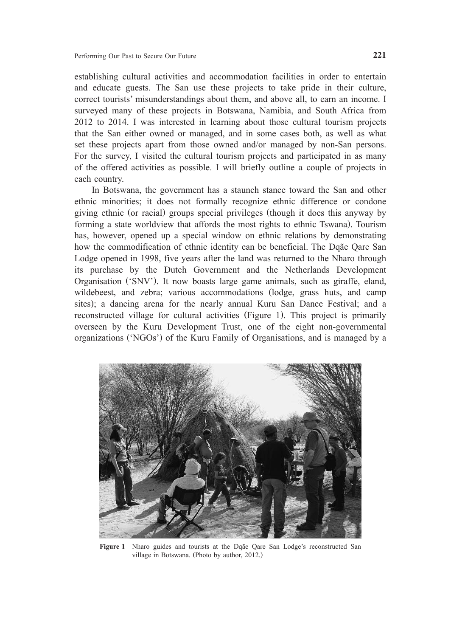establishing cultural activities and accommodation facilities in order to entertain and educate guests. The San use these projects to take pride in their culture, correct tourists' misunderstandings about them, and above all, to earn an income. I surveyed many of these projects in Botswana, Namibia, and South Africa from 2012 to 2014. I was interested in learning about those cultural tourism projects that the San either owned or managed, and in some cases both, as well as what set these projects apart from those owned and/or managed by non-San persons. For the survey, I visited the cultural tourism projects and participated in as many of the offered activities as possible. I will briefly outline a couple of projects in each country.

In Botswana, the government has a staunch stance toward the San and other ethnic minorities; it does not formally recognize ethnic difference or condone giving ethnic (or racial) groups special privileges (though it does this anyway by forming a state worldview that affords the most rights to ethnic Tswana). Tourism has, however, opened up a special window on ethnic relations by demonstrating how the commodification of ethnic identity can be beneficial. The Dqãe Qare San Lodge opened in 1998, five years after the land was returned to the Nharo through its purchase by the Dutch Government and the Netherlands Development Organisation ('SNV'). It now boasts large game animals, such as giraffe, eland, wildebeest, and zebra; various accommodations (lodge, grass huts, and camp sites); a dancing arena for the nearly annual Kuru San Dance Festival; and a reconstructed village for cultural activities (Figure 1). This project is primarily overseen by the Kuru Development Trust, one of the eight non-governmental organizations ('NGOs') of the Kuru Family of Organisations, and is managed by a



**Figure 1** Nharo guides and tourists at the Dqãe Qare San Lodge's reconstructed San village in Botswana. (Photo by author, 2012.)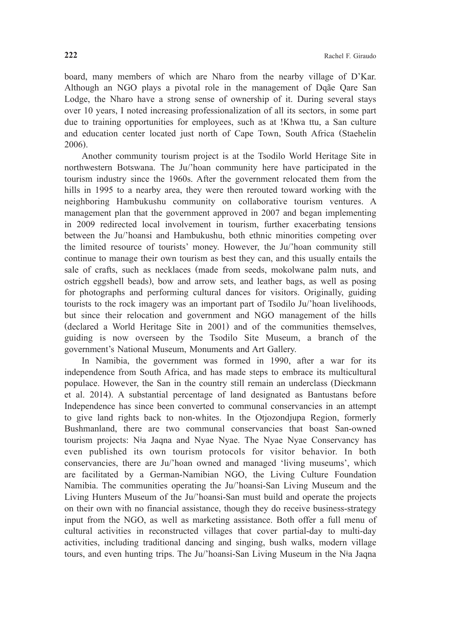board, many members of which are Nharo from the nearby village of D'Kar. Although an NGO plays a pivotal role in the management of Dqãe Qare San Lodge, the Nharo have a strong sense of ownership of it. During several stays over 10 years, I noted increasing professionalization of all its sectors, in some part due to training opportunities for employees, such as at !Khwa ttu, a San culture and education center located just north of Cape Town, South Africa (Staehelin 2006).

Another community tourism project is at the Tsodilo World Heritage Site in northwestern Botswana. The Ju/'hoan community here have participated in the tourism industry since the 1960s. After the government relocated them from the hills in 1995 to a nearby area, they were then rerouted toward working with the neighboring Hambukushu community on collaborative tourism ventures. A management plan that the government approved in 2007 and began implementing in 2009 redirected local involvement in tourism, further exacerbating tensions between the Ju/'hoansi and Hambukushu, both ethnic minorities competing over the limited resource of tourists' money. However, the Ju/'hoan community still continue to manage their own tourism as best they can, and this usually entails the sale of crafts, such as necklaces (made from seeds, mokolwane palm nuts, and ostrich eggshell beads), bow and arrow sets, and leather bags, as well as posing for photographs and performing cultural dances for visitors. Originally, guiding tourists to the rock imagery was an important part of Tsodilo Ju/'hoan livelihoods, but since their relocation and government and NGO management of the hills (declared a World Heritage Site in 2001) and of the communities themselves, guiding is now overseen by the Tsodilo Site Museum, a branch of the government's National Museum, Monuments and Art Gallery.

In Namibia, the government was formed in 1990, after a war for its independence from South Africa, and has made steps to embrace its multicultural populace. However, the San in the country still remain an underclass (Dieckmann et al. 2014). A substantial percentage of land designated as Bantustans before Independence has since been converted to communal conservancies in an attempt to give land rights back to non-whites. In the Otjozondjupa Region, formerly Bushmanland, there are two communal conservancies that boast San-owned tourism projects: Nǂa Jaqna and Nyae Nyae. The Nyae Nyae Conservancy has even published its own tourism protocols for visitor behavior. In both conservancies, there are Ju/'hoan owned and managed 'living museums', which are facilitated by a German-Namibian NGO, the Living Culture Foundation Namibia. The communities operating the Ju/'hoansi-San Living Museum and the Living Hunters Museum of the Ju/'hoansi-San must build and operate the projects on their own with no financial assistance, though they do receive business-strategy input from the NGO, as well as marketing assistance. Both offer a full menu of cultural activities in reconstructed villages that cover partial-day to multi-day activities, including traditional dancing and singing, bush walks, modern village tours, and even hunting trips. The Ju/'hoansi-San Living Museum in the N‡a Jaqna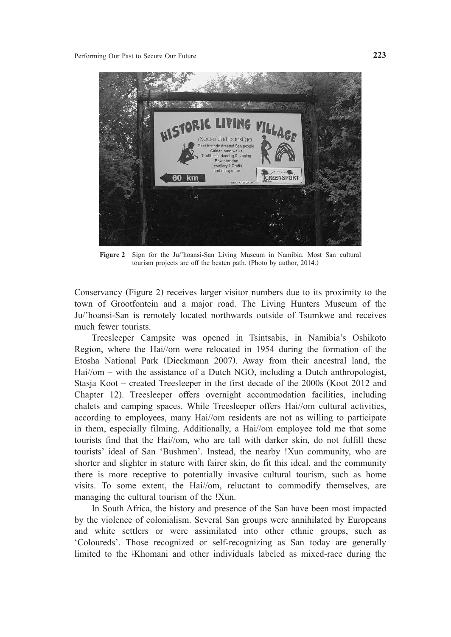

**Figure 2** Sign for the Ju/'hoansi-San Living Museum in Namibia. Most San cultural tourism projects are off the beaten path. (Photo by author, 2014.)

Conservancy (Figure 2) receives larger visitor numbers due to its proximity to the town of Grootfontein and a major road. The Living Hunters Museum of the Ju/'hoansi-San is remotely located northwards outside of Tsumkwe and receives much fewer tourists.

Treesleeper Campsite was opened in Tsintsabis, in Namibia's Oshikoto Region, where the Hai//om were relocated in 1954 during the formation of the Etosha National Park (Dieckmann 2007). Away from their ancestral land, the Hai//om – with the assistance of a Dutch NGO, including a Dutch anthropologist, Stasja Koot – created Treesleeper in the first decade of the 2000s (Koot 2012 and Chapter 12). Treesleeper offers overnight accommodation facilities, including chalets and camping spaces. While Treesleeper offers Hai//om cultural activities, according to employees, many Hai//om residents are not as willing to participate in them, especially filming. Additionally, a Hai//om employee told me that some tourists find that the Hai//om, who are tall with darker skin, do not fulfill these tourists' ideal of San 'Bushmen'. Instead, the nearby !Xun community, who are shorter and slighter in stature with fairer skin, do fit this ideal, and the community there is more receptive to potentially invasive cultural tourism, such as home visits. To some extent, the Hai//om, reluctant to commodify themselves, are managing the cultural tourism of the !Xun.

In South Africa, the history and presence of the San have been most impacted by the violence of colonialism. Several San groups were annihilated by Europeans and white settlers or were assimilated into other ethnic groups, such as 'Coloureds'. Those recognized or self-recognizing as San today are generally limited to the ǂKhomani and other individuals labeled as mixed-race during the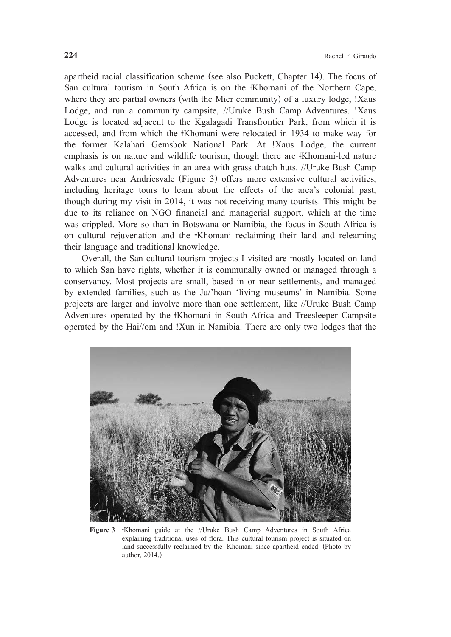apartheid racial classification scheme (see also Puckett, Chapter 14). The focus of San cultural tourism in South Africa is on the <sup>‡</sup>Khomani of the Northern Cape, where they are partial owners (with the Mier community) of a luxury lodge, !Xaus Lodge, and run a community campsite, //Uruke Bush Camp Adventures. !Xaus Lodge is located adjacent to the Kgalagadi Transfrontier Park, from which it is accessed, and from which the ǂKhomani were relocated in 1934 to make way for the former Kalahari Gemsbok National Park. At !Xaus Lodge, the current emphasis is on nature and wildlife tourism, though there are <sup>‡</sup>Khomani-led nature walks and cultural activities in an area with grass thatch huts. //Uruke Bush Camp Adventures near Andriesvale (Figure 3) offers more extensive cultural activities, including heritage tours to learn about the effects of the area's colonial past, though during my visit in 2014, it was not receiving many tourists. This might be due to its reliance on NGO financial and managerial support, which at the time was crippled. More so than in Botswana or Namibia, the focus in South Africa is on cultural rejuvenation and the <sup>‡</sup>Khomani reclaiming their land and relearning their language and traditional knowledge.

Overall, the San cultural tourism projects I visited are mostly located on land to which San have rights, whether it is communally owned or managed through a conservancy. Most projects are small, based in or near settlements, and managed by extended families, such as the Ju/'hoan 'living museums' in Namibia. Some projects are larger and involve more than one settlement, like //Uruke Bush Camp Adventures operated by the <sup>‡</sup>Khomani in South Africa and Treesleeper Campsite operated by the Hai//om and !Xun in Namibia. There are only two lodges that the



Figure 3 **Khomani** guide at the //Uruke Bush Camp Adventures in South Africa explaining traditional uses of flora. This cultural tourism project is situated on land successfully reclaimed by the <sup>∗</sup>Khomani since apartheid ended. (Photo by author, 2014.)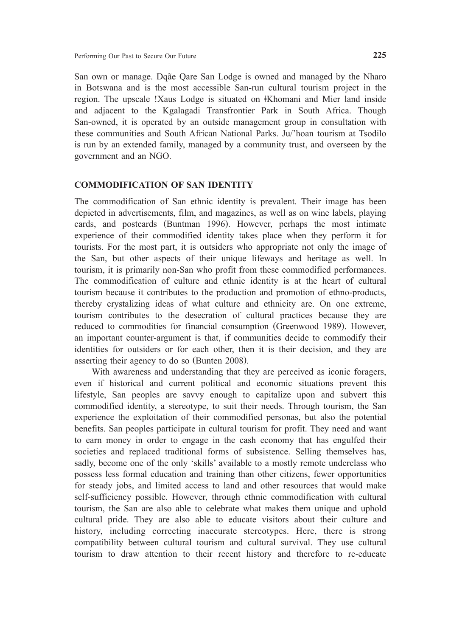San own or manage. Dqãe Qare San Lodge is owned and managed by the Nharo in Botswana and is the most accessible San-run cultural tourism project in the region. The upscale !Xaus Lodge is situated on ‡Khomani and Mier land inside and adjacent to the Kgalagadi Transfrontier Park in South Africa. Though San-owned, it is operated by an outside management group in consultation with these communities and South African National Parks. Ju/'hoan tourism at Tsodilo is run by an extended family, managed by a community trust, and overseen by the government and an NGO.

## **COMMODIFICATION OF SAN IDENTITY**

The commodification of San ethnic identity is prevalent. Their image has been depicted in advertisements, film, and magazines, as well as on wine labels, playing cards, and postcards (Buntman 1996). However, perhaps the most intimate experience of their commodified identity takes place when they perform it for tourists. For the most part, it is outsiders who appropriate not only the image of the San, but other aspects of their unique lifeways and heritage as well. In tourism, it is primarily non-San who profit from these commodified performances. The commodification of culture and ethnic identity is at the heart of cultural tourism because it contributes to the production and promotion of ethno-products, thereby crystalizing ideas of what culture and ethnicity are. On one extreme, tourism contributes to the desecration of cultural practices because they are reduced to commodities for financial consumption (Greenwood 1989). However, an important counter-argument is that, if communities decide to commodify their identities for outsiders or for each other, then it is their decision, and they are asserting their agency to do so (Bunten 2008).

With awareness and understanding that they are perceived as iconic foragers, even if historical and current political and economic situations prevent this lifestyle, San peoples are savvy enough to capitalize upon and subvert this commodified identity, a stereotype, to suit their needs. Through tourism, the San experience the exploitation of their commodified personas, but also the potential benefits. San peoples participate in cultural tourism for profit. They need and want to earn money in order to engage in the cash economy that has engulfed their societies and replaced traditional forms of subsistence. Selling themselves has, sadly, become one of the only 'skills' available to a mostly remote underclass who possess less formal education and training than other citizens, fewer opportunities for steady jobs, and limited access to land and other resources that would make self-sufficiency possible. However, through ethnic commodification with cultural tourism, the San are also able to celebrate what makes them unique and uphold cultural pride. They are also able to educate visitors about their culture and history, including correcting inaccurate stereotypes. Here, there is strong compatibility between cultural tourism and cultural survival. They use cultural tourism to draw attention to their recent history and therefore to re-educate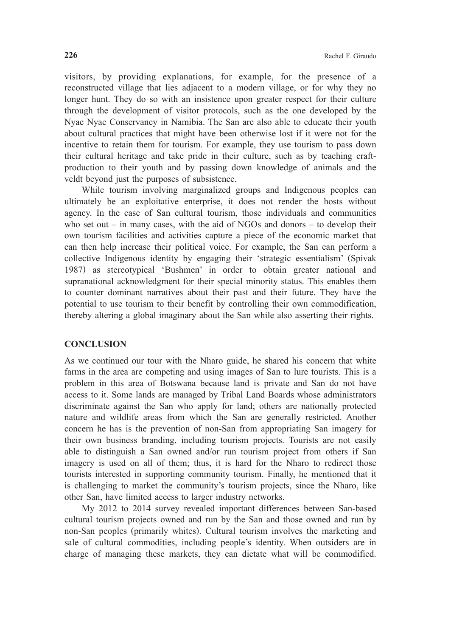visitors, by providing explanations, for example, for the presence of a reconstructed village that lies adjacent to a modern village, or for why they no longer hunt. They do so with an insistence upon greater respect for their culture through the development of visitor protocols, such as the one developed by the Nyae Nyae Conservancy in Namibia. The San are also able to educate their youth about cultural practices that might have been otherwise lost if it were not for the incentive to retain them for tourism. For example, they use tourism to pass down their cultural heritage and take pride in their culture, such as by teaching craftproduction to their youth and by passing down knowledge of animals and the veldt beyond just the purposes of subsistence.

While tourism involving marginalized groups and Indigenous peoples can ultimately be an exploitative enterprise, it does not render the hosts without agency. In the case of San cultural tourism, those individuals and communities who set out  $-$  in many cases, with the aid of NGOs and donors  $-$  to develop their own tourism facilities and activities capture a piece of the economic market that can then help increase their political voice. For example, the San can perform a collective Indigenous identity by engaging their 'strategic essentialism' (Spivak 1987) as stereotypical 'Bushmen' in order to obtain greater national and supranational acknowledgment for their special minority status. This enables them to counter dominant narratives about their past and their future. They have the potential to use tourism to their benefit by controlling their own commodification, thereby altering a global imaginary about the San while also asserting their rights.

## **CONCLUSION**

As we continued our tour with the Nharo guide, he shared his concern that white farms in the area are competing and using images of San to lure tourists. This is a problem in this area of Botswana because land is private and San do not have access to it. Some lands are managed by Tribal Land Boards whose administrators discriminate against the San who apply for land; others are nationally protected nature and wildlife areas from which the San are generally restricted. Another concern he has is the prevention of non-San from appropriating San imagery for their own business branding, including tourism projects. Tourists are not easily able to distinguish a San owned and/or run tourism project from others if San imagery is used on all of them; thus, it is hard for the Nharo to redirect those tourists interested in supporting community tourism. Finally, he mentioned that it is challenging to market the community's tourism projects, since the Nharo, like other San, have limited access to larger industry networks.

My 2012 to 2014 survey revealed important differences between San-based cultural tourism projects owned and run by the San and those owned and run by non-San peoples (primarily whites). Cultural tourism involves the marketing and sale of cultural commodities, including people's identity. When outsiders are in charge of managing these markets, they can dictate what will be commodified.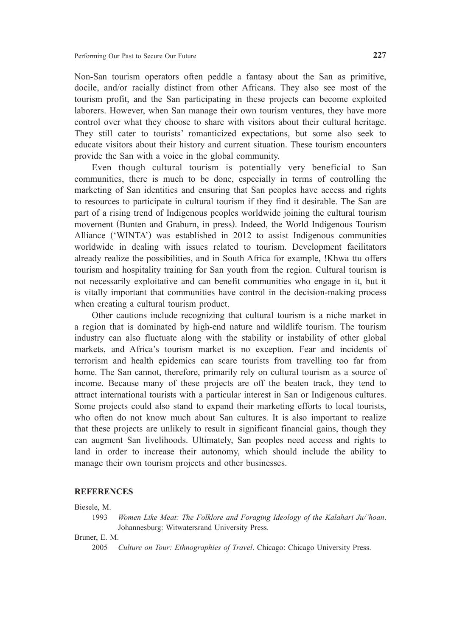Non-San tourism operators often peddle a fantasy about the San as primitive, docile, and/or racially distinct from other Africans. They also see most of the tourism profit, and the San participating in these projects can become exploited laborers. However, when San manage their own tourism ventures, they have more control over what they choose to share with visitors about their cultural heritage. They still cater to tourists' romanticized expectations, but some also seek to educate visitors about their history and current situation. These tourism encounters provide the San with a voice in the global community.

Even though cultural tourism is potentially very beneficial to San communities, there is much to be done, especially in terms of controlling the marketing of San identities and ensuring that San peoples have access and rights to resources to participate in cultural tourism if they find it desirable. The San are part of a rising trend of Indigenous peoples worldwide joining the cultural tourism movement (Bunten and Graburn, in press). Indeed, the World Indigenous Tourism Alliance ('WINTA') was established in 2012 to assist Indigenous communities worldwide in dealing with issues related to tourism. Development facilitators already realize the possibilities, and in South Africa for example, !Khwa ttu offers tourism and hospitality training for San youth from the region. Cultural tourism is not necessarily exploitative and can benefit communities who engage in it, but it is vitally important that communities have control in the decision-making process when creating a cultural tourism product.

Other cautions include recognizing that cultural tourism is a niche market in a region that is dominated by high-end nature and wildlife tourism. The tourism industry can also fluctuate along with the stability or instability of other global markets, and Africa's tourism market is no exception. Fear and incidents of terrorism and health epidemics can scare tourists from travelling too far from home. The San cannot, therefore, primarily rely on cultural tourism as a source of income. Because many of these projects are off the beaten track, they tend to attract international tourists with a particular interest in San or Indigenous cultures. Some projects could also stand to expand their marketing efforts to local tourists, who often do not know much about San cultures. It is also important to realize that these projects are unlikely to result in significant financial gains, though they can augment San livelihoods. Ultimately, San peoples need access and rights to land in order to increase their autonomy, which should include the ability to manage their own tourism projects and other businesses.

#### **REFERENCES**

#### Biesele, M.

1993 *Women Like Meat: The Folklore and Foraging Ideology of the Kalahari Ju/'hoan*. Johannesburg: Witwatersrand University Press.

# Bruner, E. M.

2005 *Culture on Tour: Ethnographies of Travel*. Chicago: Chicago University Press.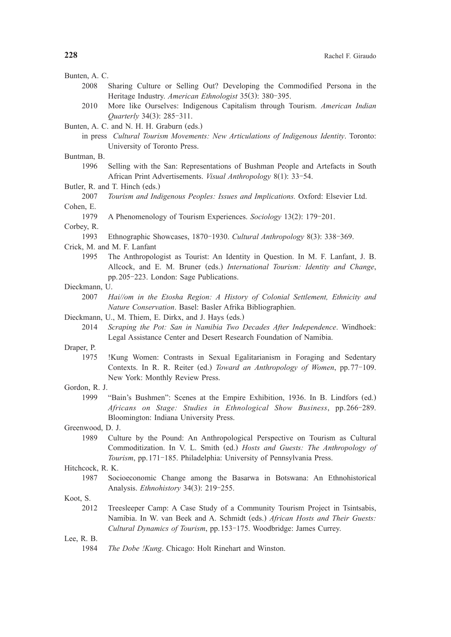| Bunten, A. C.      |                                                                                                                                                               |  |  |  |  |  |  |  |
|--------------------|---------------------------------------------------------------------------------------------------------------------------------------------------------------|--|--|--|--|--|--|--|
| 2008               | Sharing Culture or Selling Out? Developing the Commodified Persona in the                                                                                     |  |  |  |  |  |  |  |
|                    | Heritage Industry. American Ethnologist 35(3): 380-395.                                                                                                       |  |  |  |  |  |  |  |
| 2010               | More like Ourselves: Indigenous Capitalism through Tourism. American Indian                                                                                   |  |  |  |  |  |  |  |
|                    | Quarterly 34(3): 285-311.                                                                                                                                     |  |  |  |  |  |  |  |
|                    | Bunten, A. C. and N. H. H. Graburn (eds.)                                                                                                                     |  |  |  |  |  |  |  |
|                    | in press Cultural Tourism Movements: New Articulations of Indigenous Identity. Toronto:                                                                       |  |  |  |  |  |  |  |
|                    | University of Toronto Press.                                                                                                                                  |  |  |  |  |  |  |  |
| Buntman, B.        |                                                                                                                                                               |  |  |  |  |  |  |  |
| 1996               | Selling with the San: Representations of Bushman People and Artefacts in South                                                                                |  |  |  |  |  |  |  |
|                    | African Print Advertisements. Visual Anthropology 8(1): 33-54.<br>Butler, R. and T. Hinch (eds.)                                                              |  |  |  |  |  |  |  |
| 2007               | Tourism and Indigenous Peoples: Issues and Implications. Oxford: Elsevier Ltd.                                                                                |  |  |  |  |  |  |  |
| Cohen, E.          |                                                                                                                                                               |  |  |  |  |  |  |  |
| 1979               | A Phenomenology of Tourism Experiences. Sociology 13(2): 179-201.                                                                                             |  |  |  |  |  |  |  |
| Corbey, R.         |                                                                                                                                                               |  |  |  |  |  |  |  |
| 1993               | Ethnographic Showcases, 1870-1930. Cultural Anthropology 8(3): 338-369.                                                                                       |  |  |  |  |  |  |  |
|                    | Crick, M. and M. F. Lanfant                                                                                                                                   |  |  |  |  |  |  |  |
| 1995               | The Anthropologist as Tourist: An Identity in Question. In M. F. Lanfant, J. B.                                                                               |  |  |  |  |  |  |  |
|                    | Allcock, and E. M. Bruner (eds.) International Tourism: Identity and Change,                                                                                  |  |  |  |  |  |  |  |
|                    | pp.205-223. London: Sage Publications.                                                                                                                        |  |  |  |  |  |  |  |
| Dieckmann, U.      |                                                                                                                                                               |  |  |  |  |  |  |  |
| 2007               | Hai//om in the Etosha Region: A History of Colonial Settlement, Ethnicity and                                                                                 |  |  |  |  |  |  |  |
|                    | Nature Conservation. Basel: Basler Afrika Bibliographien.                                                                                                     |  |  |  |  |  |  |  |
|                    | Dieckmann, U., M. Thiem, E. Dirkx, and J. Hays (eds.)                                                                                                         |  |  |  |  |  |  |  |
| 2014               | Scraping the Pot: San in Namibia Two Decades After Independence. Windhoek:                                                                                    |  |  |  |  |  |  |  |
|                    | Legal Assistance Center and Desert Research Foundation of Namibia.                                                                                            |  |  |  |  |  |  |  |
| Draper, P.<br>1975 | !Kung Women: Contrasts in Sexual Egalitarianism in Foraging and Sedentary                                                                                     |  |  |  |  |  |  |  |
|                    | Contexts. In R. R. Reiter (ed.) Toward an Anthropology of Women, pp. 77-109.                                                                                  |  |  |  |  |  |  |  |
|                    | New York: Monthly Review Press.                                                                                                                               |  |  |  |  |  |  |  |
| Gordon, R. J.      |                                                                                                                                                               |  |  |  |  |  |  |  |
| 1999               | "Bain's Bushmen": Scenes at the Empire Exhibition, 1936. In B. Lindfors (ed.)                                                                                 |  |  |  |  |  |  |  |
|                    | Africans on Stage: Studies in Ethnological Show Business, pp.266-289.                                                                                         |  |  |  |  |  |  |  |
|                    | Bloomington: Indiana University Press.                                                                                                                        |  |  |  |  |  |  |  |
| Greenwood, D. J.   |                                                                                                                                                               |  |  |  |  |  |  |  |
| 1989               | Culture by the Pound: An Anthropological Perspective on Tourism as Cultural                                                                                   |  |  |  |  |  |  |  |
|                    | Commoditization. In V. L. Smith (ed.) Hosts and Guests: The Anthropology of                                                                                   |  |  |  |  |  |  |  |
|                    | <i>Tourism</i> , pp. 171–185. Philadelphia: University of Pennsylvania Press.                                                                                 |  |  |  |  |  |  |  |
| Hitchcock, R. K.   |                                                                                                                                                               |  |  |  |  |  |  |  |
| 1987               | Socioeconomic Change among the Basarwa in Botswana: An Ethnohistorical                                                                                        |  |  |  |  |  |  |  |
|                    | Analysis. Ethnohistory 34(3): 219-255.                                                                                                                        |  |  |  |  |  |  |  |
| Koot, S.           |                                                                                                                                                               |  |  |  |  |  |  |  |
| 2012               | Treesleeper Camp: A Case Study of a Community Tourism Project in Tsintsabis,<br>Namibia. In W. van Beek and A. Schmidt (eds.) African Hosts and Their Guests: |  |  |  |  |  |  |  |
|                    | Cultural Dynamics of Tourism, pp. 153-175. Woodbridge: James Currey.                                                                                          |  |  |  |  |  |  |  |
| Lee, R. B.         |                                                                                                                                                               |  |  |  |  |  |  |  |
| 1984               | The Dobe !Kung. Chicago: Holt Rinehart and Winston.                                                                                                           |  |  |  |  |  |  |  |
|                    |                                                                                                                                                               |  |  |  |  |  |  |  |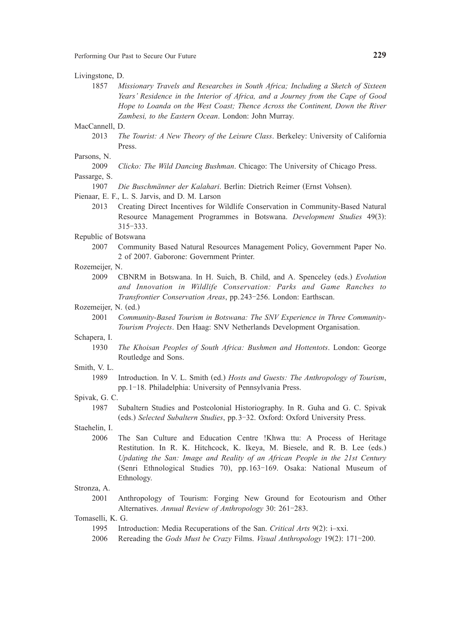Performing Our Past to Secure Our Future **229**

#### Livingstone, D.

1857 *Missionary Travels and Researches in South Africa; Including a Sketch of Sixteen Years' Residence in the Interior of Africa, and a Journey from the Cape of Good Hope to Loanda on the West Coast; Thence Across the Continent, Down the River Zambesi, to the Eastern Ocean*. London: John Murray.

## MacCannell, D.

2013 *The Tourist: A New Theory of the Leisure Class*. Berkeley: University of California Press.

## Parsons, N.

|  |  |  |  | 2009 Clicko: The Wild Dancing Bushman. Chicago: The University of Chicago Press. |  |  |  |  |  |  |
|--|--|--|--|----------------------------------------------------------------------------------|--|--|--|--|--|--|
|--|--|--|--|----------------------------------------------------------------------------------|--|--|--|--|--|--|

# Passarge, S.

## 1907 *Die Buschmänner der Kalahari*. Berlin: Dietrich Reimer (Ernst Vohsen).

- Pienaar, E. F., L. S. Jarvis, and D. M. Larson
	- 2013 Creating Direct Incentives for Wildlife Conservation in Community-Based Natural Resource Management Programmes in Botswana. *Development Studies* 49(3): 315-333.
- Republic of Botswana
	- 2007 Community Based Natural Resources Management Policy, Government Paper No. 2 of 2007. Gaborone: Government Printer.

#### Rozemeijer, N.

2009 CBNRM in Botswana. In H. Suich, B. Child, and A. Spenceley (eds.) *Evolution and Innovation in Wildlife Conservation: Parks and Game Ranches to Transfrontier Conservation Areas*, pp.243-256. London: Earthscan.

## Rozemeijer, N. (ed.)

2001 *Community-Based Tourism in Botswana: The SNV Experience in Three Community-Tourism Projects*. Den Haag: SNV Netherlands Development Organisation.

#### Schapera, I.

1930 *The Khoisan Peoples of South Africa: Bushmen and Hottentots*. London: George Routledge and Sons.

## Smith, V. L.

1989 Introduction. In V. L. Smith (ed.) *Hosts and Guests: The Anthropology of Tourism*, pp.1-18. Philadelphia: University of Pennsylvania Press.

#### Spivak, G. C.

1987 Subaltern Studies and Postcolonial Historiography. In R. Guha and G. C. Spivak (eds.) *Selected Subaltern Studies*, pp.3-32. Oxford: Oxford University Press.

Staehelin, I.

2006 The San Culture and Education Centre !Khwa ttu: A Process of Heritage Restitution. In R. K. Hitchcock, K. Ikeya, M. Biesele, and R. B. Lee (eds.) *Updating the San: Image and Reality of an African People in the 21st Century* (Senri Ethnological Studies 70), pp.163-169. Osaka: National Museum of Ethnology.

#### Stronza, A.

- 2001 Anthropology of Tourism: Forging New Ground for Ecotourism and Other Alternatives. *Annual Review of Anthropology* 30: 261-283.
- Tomaselli, K. G.
	- 1995 Introduction: Media Recuperations of the San. *Critical Arts* 9(2): i–xxi.
	- 2006 Rereading the *Gods Must be Crazy* Films. *Visual Anthropology* 19(2): 171-200.